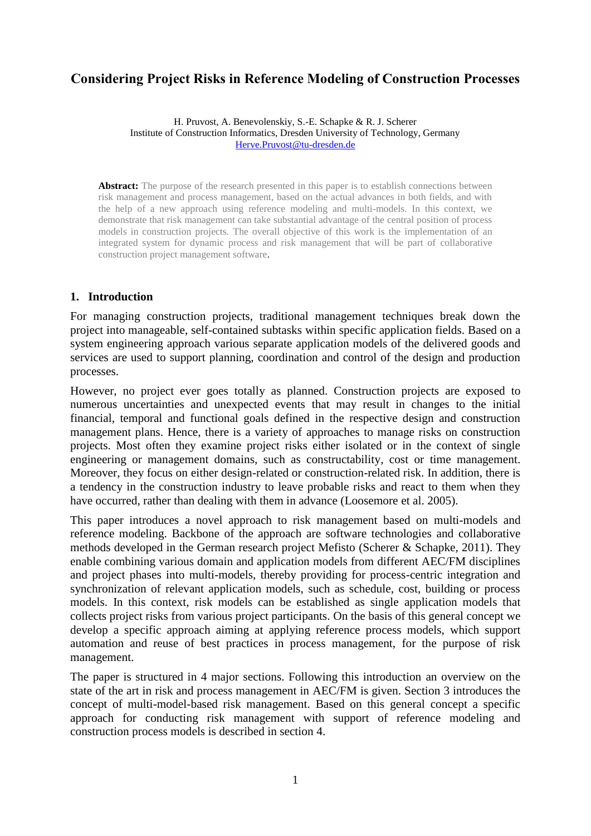# **Considering Project Risks in Reference Modeling of Construction Processes**

H. Pruvost, A. Benevolenskiy, S.-E. Schapke & R. J. Scherer Institute of Construction Informatics, Dresden University of Technology, Germany [Herve.Pruvost@tu-dresden.de](mailto:Herve.Pruvost@tu-dresden.de)

Abstract: The purpose of the research presented in this paper is to establish connections between risk management and process management, based on the actual advances in both fields, and with the help of a new approach using reference modeling and multi-models. In this context, we demonstrate that risk management can take substantial advantage of the central position of process models in construction projects. The overall objective of this work is the implementation of an integrated system for dynamic process and risk management that will be part of collaborative construction project management software.

#### **1. Introduction**

For managing construction projects, traditional management techniques break down the project into manageable, self-contained subtasks within specific application fields. Based on a system engineering approach various separate application models of the delivered goods and services are used to support planning, coordination and control of the design and production processes.

However, no project ever goes totally as planned. Construction projects are exposed to numerous uncertainties and unexpected events that may result in changes to the initial financial, temporal and functional goals defined in the respective design and construction management plans. Hence, there is a variety of approaches to manage risks on construction projects. Most often they examine project risks either isolated or in the context of single engineering or management domains, such as constructability, cost or time management. Moreover, they focus on either design-related or construction-related risk. In addition, there is a tendency in the construction industry to leave probable risks and react to them when they have occurred, rather than dealing with them in advance (Loosemore et al. 2005).

This paper introduces a novel approach to risk management based on multi-models and reference modeling. Backbone of the approach are software technologies and collaborative methods developed in the German research project Mefisto (Scherer & Schapke, 2011). They enable combining various domain and application models from different AEC/FM disciplines and project phases into multi-models, thereby providing for process-centric integration and synchronization of relevant application models, such as schedule, cost, building or process models. In this context, risk models can be established as single application models that collects project risks from various project participants. On the basis of this general concept we develop a specific approach aiming at applying reference process models, which support automation and reuse of best practices in process management, for the purpose of risk management.

The paper is structured in 4 major sections. Following this introduction an overview on the state of the art in risk and process management in AEC/FM is given. Section 3 introduces the concept of multi-model-based risk management. Based on this general concept a specific approach for conducting risk management with support of reference modeling and construction process models is described in section 4.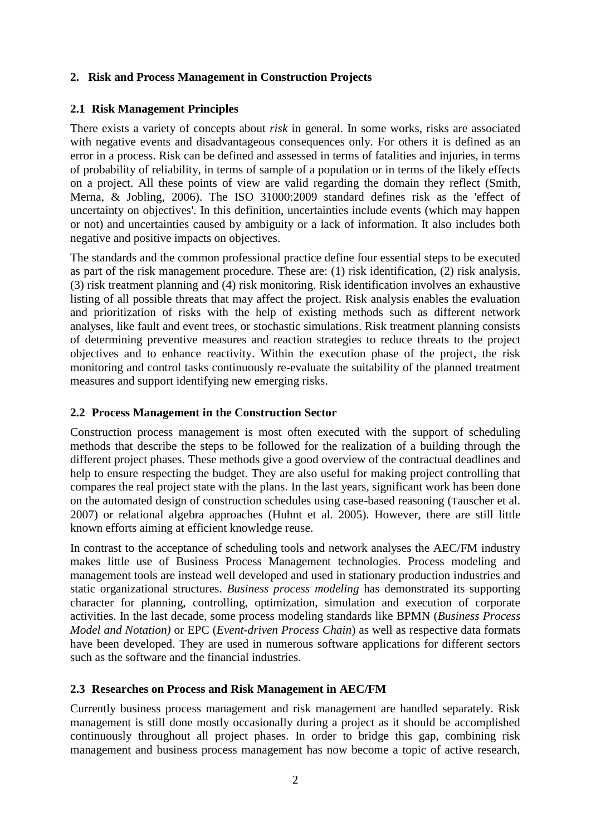## **2. Risk and Process Management in Construction Projects**

## **2.1 Risk Management Principles**

There exists a variety of concepts about *risk* in general. In some works, risks are associated with negative events and disadvantageous consequences only. For others it is defined as an error in a process. Risk can be defined and assessed in terms of fatalities and injuries, in terms of probability of reliability, in terms of sample of a population or in terms of the likely effects on a project. All these points of view are valid regarding the domain they reflect (Smith, Merna, & Jobling, 2006). The ISO 31000:2009 standard defines risk as the 'effect of uncertainty on objectives'. In this definition, uncertainties include events (which may happen or not) and uncertainties caused by ambiguity or a lack of information. It also includes both negative and positive impacts on objectives.

The standards and the common professional practice define four essential steps to be executed as part of the risk management procedure. These are: (1) risk identification, (2) risk analysis, (3) risk treatment planning and (4) risk monitoring. Risk identification involves an exhaustive listing of all possible threats that may affect the project. Risk analysis enables the evaluation and prioritization of risks with the help of existing methods such as different network analyses, like fault and event trees, or stochastic simulations. Risk treatment planning consists of determining preventive measures and reaction strategies to reduce threats to the project objectives and to enhance reactivity. Within the execution phase of the project, the risk monitoring and control tasks continuously re-evaluate the suitability of the planned treatment measures and support identifying new emerging risks.

## **2.2 Process Management in the Construction Sector**

Construction process management is most often executed with the support of scheduling methods that describe the steps to be followed for the realization of a building through the different project phases. These methods give a good overview of the contractual deadlines and help to ensure respecting the budget. They are also useful for making project controlling that compares the real project state with the plans. In the last years, significant work has been done on the automated design of construction schedules using case-based reasoning (Tauscher et al. 2007) or relational algebra approaches (Huhnt et al. 2005). However, there are still little known efforts aiming at efficient knowledge reuse.

In contrast to the acceptance of scheduling tools and network analyses the AEC/FM industry makes little use of Business Process Management technologies. Process modeling and management tools are instead well developed and used in stationary production industries and static organizational structures. *Business process modeling* has demonstrated its supporting character for planning, controlling, optimization, simulation and execution of corporate activities. In the last decade, some process modeling standards like BPMN (*Business Process Model and Notation)* or EPC (*Event-driven Process Chain*) as well as respective data formats have been developed. They are used in numerous software applications for different sectors such as the software and the financial industries.

## **2.3 Researches on Process and Risk Management in AEC/FM**

Currently business process management and risk management are handled separately. Risk management is still done mostly occasionally during a project as it should be accomplished continuously throughout all project phases. In order to bridge this gap, combining risk management and business process management has now become a topic of active research,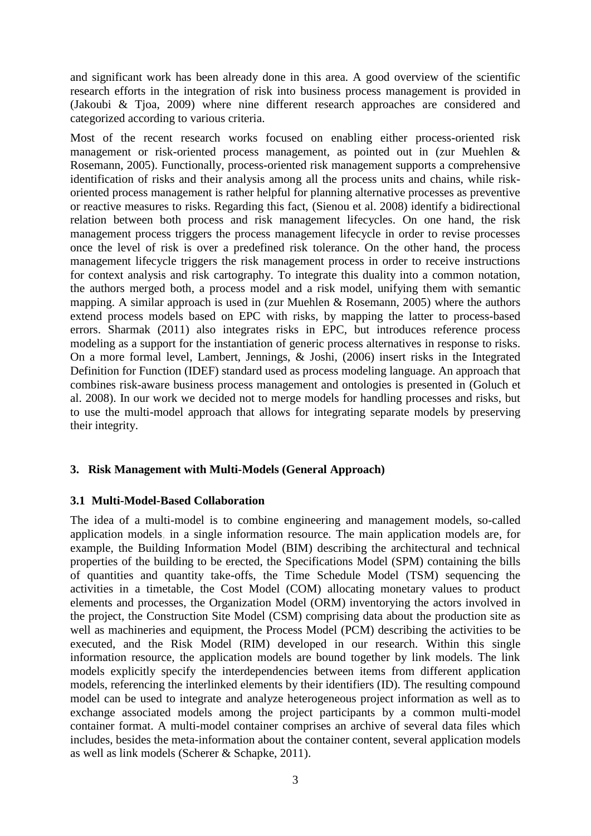and significant work has been already done in this area. A good overview of the scientific research efforts in the integration of risk into business process management is provided in (Jakoubi & Tjoa, 2009) where nine different research approaches are considered and categorized according to various criteria.

Most of the recent research works focused on enabling either process-oriented risk management or risk-oriented process management, as pointed out in (zur Muehlen & Rosemann, 2005). Functionally, process-oriented risk management supports a comprehensive identification of risks and their analysis among all the process units and chains, while riskoriented process management is rather helpful for planning alternative processes as preventive or reactive measures to risks. Regarding this fact, (Sienou et al. 2008) identify a bidirectional relation between both process and risk management lifecycles. On one hand, the risk management process triggers the process management lifecycle in order to revise processes once the level of risk is over a predefined risk tolerance. On the other hand, the process management lifecycle triggers the risk management process in order to receive instructions for context analysis and risk cartography. To integrate this duality into a common notation, the authors merged both, a process model and a risk model, unifying them with semantic mapping. A similar approach is used in (zur Muehlen & Rosemann, 2005) where the authors extend process models based on EPC with risks, by mapping the latter to process-based errors. Sharmak (2011) also integrates risks in EPC, but introduces reference process modeling as a support for the instantiation of generic process alternatives in response to risks. On a more formal level, Lambert, Jennings, & Joshi, (2006) insert risks in the Integrated Definition for Function (IDEF) standard used as process modeling language. An approach that combines risk-aware business process management and ontologies is presented in (Goluch et al. 2008). In our work we decided not to merge models for handling processes and risks, but to use the multi-model approach that allows for integrating separate models by preserving their integrity.

## **3. Risk Management with Multi-Models (General Approach)**

## **3.1 Multi-Model-Based Collaboration**

The idea of a multi-model is to combine engineering and management models, so-called application models, in a single information resource. The main application models are, for example, the Building Information Model (BIM) describing the architectural and technical properties of the building to be erected, the Specifications Model (SPM) containing the bills of quantities and quantity take-offs, the Time Schedule Model (TSM) sequencing the activities in a timetable, the Cost Model (COM) allocating monetary values to product elements and processes, the Organization Model (ORM) inventorying the actors involved in the project, the Construction Site Model (CSM) comprising data about the production site as well as machineries and equipment, the Process Model (PCM) describing the activities to be executed, and the Risk Model (RIM) developed in our research. Within this single information resource, the application models are bound together by link models. The link models explicitly specify the interdependencies between items from different application models, referencing the interlinked elements by their identifiers (ID). The resulting compound model can be used to integrate and analyze heterogeneous project information as well as to exchange associated models among the project participants by a common multi-model container format. A multi-model container comprises an archive of several data files which includes, besides the meta-information about the container content, several application models as well as link models (Scherer & Schapke, 2011).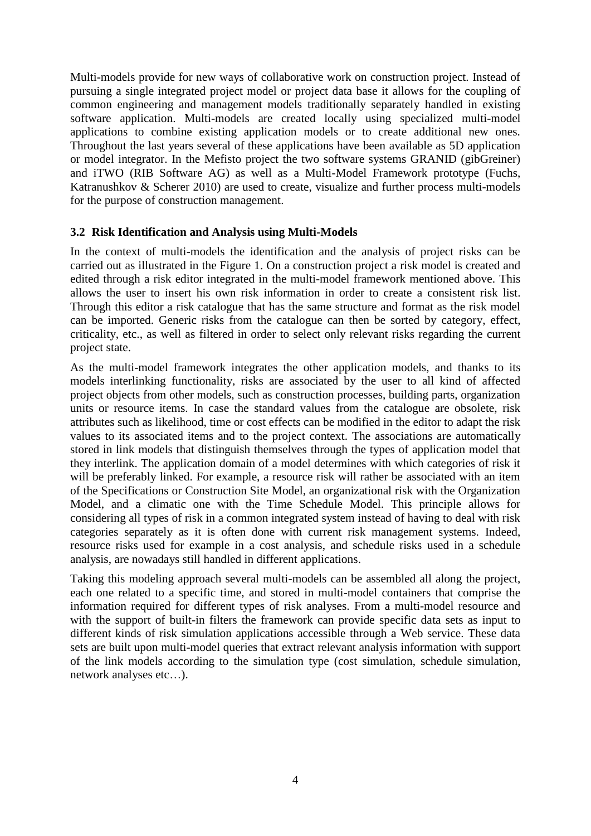Multi-models provide for new ways of collaborative work on construction project. Instead of pursuing a single integrated project model or project data base it allows for the coupling of common engineering and management models traditionally separately handled in existing software application. Multi-models are created locally using specialized multi-model applications to combine existing application models or to create additional new ones. Throughout the last years several of these applications have been available as 5D application or model integrator. In the Mefisto project the two software systems GRANID (gibGreiner) and iTWO (RIB Software AG) as well as a Multi-Model Framework prototype (Fuchs, Katranushkov & Scherer 2010) are used to create, visualize and further process multi-models for the purpose of construction management.

### **3.2 Risk Identification and Analysis using Multi-Models**

In the context of multi-models the identification and the analysis of project risks can be carried out as illustrated in the Figure 1. On a construction project a risk model is created and edited through a risk editor integrated in the multi-model framework mentioned above. This allows the user to insert his own risk information in order to create a consistent risk list. Through this editor a risk catalogue that has the same structure and format as the risk model can be imported. Generic risks from the catalogue can then be sorted by category, effect, criticality, etc., as well as filtered in order to select only relevant risks regarding the current project state.

As the multi-model framework integrates the other application models, and thanks to its models interlinking functionality, risks are associated by the user to all kind of affected project objects from other models, such as construction processes, building parts, organization units or resource items. In case the standard values from the catalogue are obsolete, risk attributes such as likelihood, time or cost effects can be modified in the editor to adapt the risk values to its associated items and to the project context. The associations are automatically stored in link models that distinguish themselves through the types of application model that they interlink. The application domain of a model determines with which categories of risk it will be preferably linked. For example, a resource risk will rather be associated with an item of the Specifications or Construction Site Model, an organizational risk with the Organization Model, and a climatic one with the Time Schedule Model. This principle allows for considering all types of risk in a common integrated system instead of having to deal with risk categories separately as it is often done with current risk management systems. Indeed, resource risks used for example in a cost analysis, and schedule risks used in a schedule analysis, are nowadays still handled in different applications.

Taking this modeling approach several multi-models can be assembled all along the project, each one related to a specific time, and stored in multi-model containers that comprise the information required for different types of risk analyses. From a multi-model resource and with the support of built-in filters the framework can provide specific data sets as input to different kinds of risk simulation applications accessible through a Web service. These data sets are built upon multi-model queries that extract relevant analysis information with support of the link models according to the simulation type (cost simulation, schedule simulation, network analyses etc…).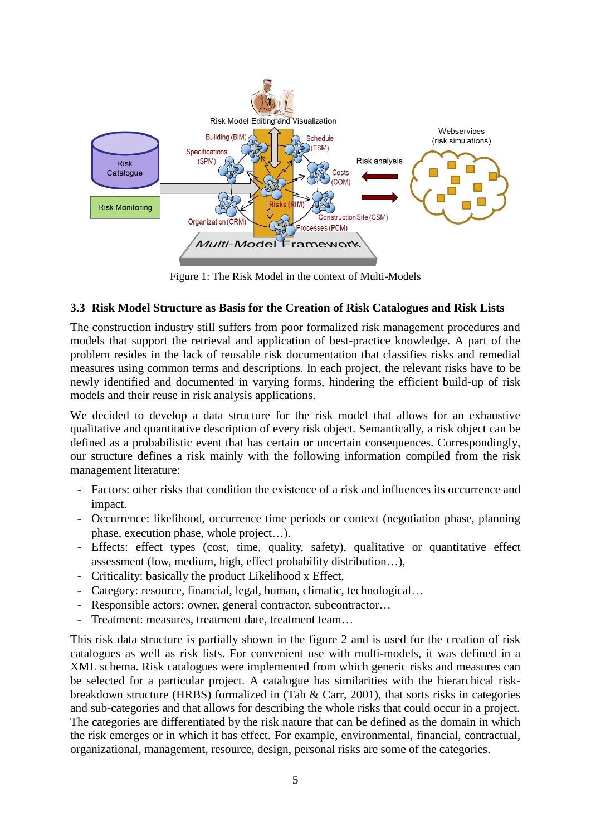

Figure 1: The Risk Model in the context of Multi-Models

### **3.3 Risk Model Structure as Basis for the Creation of Risk Catalogues and Risk Lists**

The construction industry still suffers from poor formalized risk management procedures and models that support the retrieval and application of best-practice knowledge. A part of the problem resides in the lack of reusable risk documentation that classifies risks and remedial measures using common terms and descriptions. In each project, the relevant risks have to be newly identified and documented in varying forms, hindering the efficient build-up of risk models and their reuse in risk analysis applications.

We decided to develop a data structure for the risk model that allows for an exhaustive qualitative and quantitative description of every risk object. Semantically, a risk object can be defined as a probabilistic event that has certain or uncertain consequences. Correspondingly, our structure defines a risk mainly with the following information compiled from the risk management literature:

- Factors: other risks that condition the existence of a risk and influences its occurrence and impact.
- Occurrence: likelihood, occurrence time periods or context (negotiation phase, planning phase, execution phase, whole project…).
- Effects: effect types (cost, time, quality, safety), qualitative or quantitative effect assessment (low, medium, high, effect probability distribution…),
- Criticality: basically the product Likelihood x Effect,
- Category: resource, financial, legal, human, climatic, technological…
- Responsible actors: owner, general contractor, subcontractor…
- Treatment: measures, treatment date, treatment team...

This risk data structure is partially shown in the figure 2 and is used for the creation of risk catalogues as well as risk lists. For convenient use with multi-models, it was defined in a XML schema. Risk catalogues were implemented from which generic risks and measures can be selected for a particular project. A catalogue has similarities with the hierarchical riskbreakdown structure (HRBS) formalized in (Tah & Carr, 2001), that sorts risks in categories and sub-categories and that allows for describing the whole risks that could occur in a project. The categories are differentiated by the risk nature that can be defined as the domain in which the risk emerges or in which it has effect. For example, environmental, financial, contractual, organizational, management, resource, design, personal risks are some of the categories.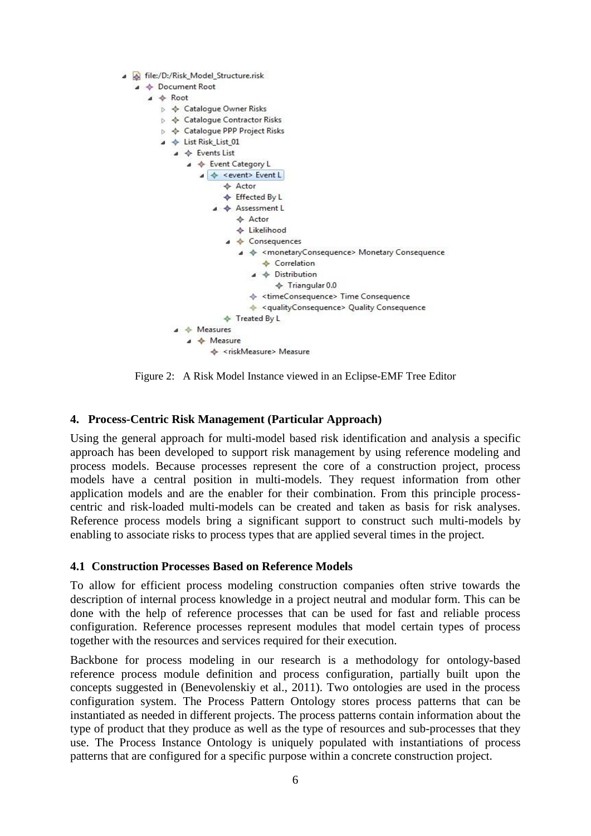- 6 file:/D:/Risk Model Structure.risk
	- ▲ ◆ Document Root
		- $\triangleleft$   $\triangleleft$  Root
			- ▷ ◆ Catalogue Owner Risks
			- ▷ ◆ Catalogue Contractor Risks
			- D → Catalogue PPP Project Risks
			- ▲ ← List Risk\_List\_01
				- $\triangle$   $\triangle$  Events List
					- ▲ ◆ Event Category L  $\triangle$  < event> Event L
						- ♦ Actor
							- ♦ Effected By L
							- ▲ ◆ Assessment L
								- $\Leftrightarrow$  Actor
								- ♦ Likelihood
								- ▲ ← Consequences
									- ▲ ◆ <monetaryConsequence> Monetary Consequence
										- ← Correlation
										- $\triangle$   $\triangle$  Distribution
										- $\textcolor{red}{\Leftrightarrow}$  Triangular 0.0
										- → <timeConsequence> Time Consequence
									- ◆ <qualityConsequence> Quality Consequence
						- ← Treated By L
				- A & Measures  $\triangle$  Measure
					- ← <riskMeasure> Measure

Figure 2: A Risk Model Instance viewed in an Eclipse-EMF Tree Editor

## **4. Process-Centric Risk Management (Particular Approach)**

Using the general approach for multi-model based risk identification and analysis a specific approach has been developed to support risk management by using reference modeling and process models. Because processes represent the core of a construction project, process models have a central position in multi-models. They request information from other application models and are the enabler for their combination. From this principle processcentric and risk-loaded multi-models can be created and taken as basis for risk analyses. Reference process models bring a significant support to construct such multi-models by enabling to associate risks to process types that are applied several times in the project.

## **4.1 Construction Processes Based on Reference Models**

To allow for efficient process modeling construction companies often strive towards the description of internal process knowledge in a project neutral and modular form. This can be done with the help of reference processes that can be used for fast and reliable process configuration. Reference processes represent modules that model certain types of process together with the resources and services required for their execution.

Backbone for process modeling in our research is a methodology for ontology-based reference process module definition and process configuration, partially built upon the concepts suggested in (Benevolenskiy et al., 2011). Two ontologies are used in the process configuration system. The Process Pattern Ontology stores process patterns that can be instantiated as needed in different projects. The process patterns contain information about the type of product that they produce as well as the type of resources and sub-processes that they use. The Process Instance Ontology is uniquely populated with instantiations of process patterns that are configured for a specific purpose within a concrete construction project.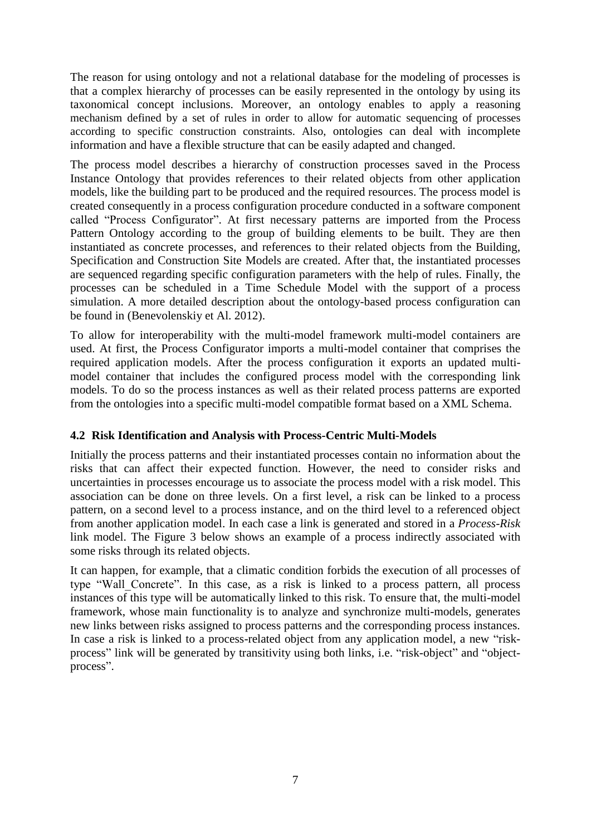The reason for using ontology and not a relational database for the modeling of processes is that a complex hierarchy of processes can be easily represented in the ontology by using its taxonomical concept inclusions. Moreover, an ontology enables to apply a reasoning mechanism defined by a set of rules in order to allow for automatic sequencing of processes according to specific construction constraints. Also, ontologies can deal with incomplete information and have a flexible structure that can be easily adapted and changed.

The process model describes a hierarchy of construction processes saved in the Process Instance Ontology that provides references to their related objects from other application models, like the building part to be produced and the required resources. The process model is created consequently in a process configuration procedure conducted in a software component called "Process Configurator". At first necessary patterns are imported from the Process Pattern Ontology according to the group of building elements to be built. They are then instantiated as concrete processes, and references to their related objects from the Building, Specification and Construction Site Models are created. After that, the instantiated processes are sequenced regarding specific configuration parameters with the help of rules. Finally, the processes can be scheduled in a Time Schedule Model with the support of a process simulation. A more detailed description about the ontology-based process configuration can be found in (Benevolenskiy et Al. 2012).

To allow for interoperability with the multi-model framework multi-model containers are used. At first, the Process Configurator imports a multi-model container that comprises the required application models. After the process configuration it exports an updated multimodel container that includes the configured process model with the corresponding link models. To do so the process instances as well as their related process patterns are exported from the ontologies into a specific multi-model compatible format based on a XML Schema.

## **4.2 Risk Identification and Analysis with Process-Centric Multi-Models**

Initially the process patterns and their instantiated processes contain no information about the risks that can affect their expected function. However, the need to consider risks and uncertainties in processes encourage us to associate the process model with a risk model. This association can be done on three levels. On a first level, a risk can be linked to a process pattern, on a second level to a process instance, and on the third level to a referenced object from another application model. In each case a link is generated and stored in a *Process-Risk* link model. The Figure 3 below shows an example of a process indirectly associated with some risks through its related objects.

It can happen, for example, that a climatic condition forbids the execution of all processes of type "Wall\_Concrete". In this case, as a risk is linked to a process pattern, all process instances of this type will be automatically linked to this risk. To ensure that, the multi-model framework, whose main functionality is to analyze and synchronize multi-models, generates new links between risks assigned to process patterns and the corresponding process instances. In case a risk is linked to a process-related object from any application model, a new "riskprocess" link will be generated by transitivity using both links, i.e. "risk-object" and "objectprocess".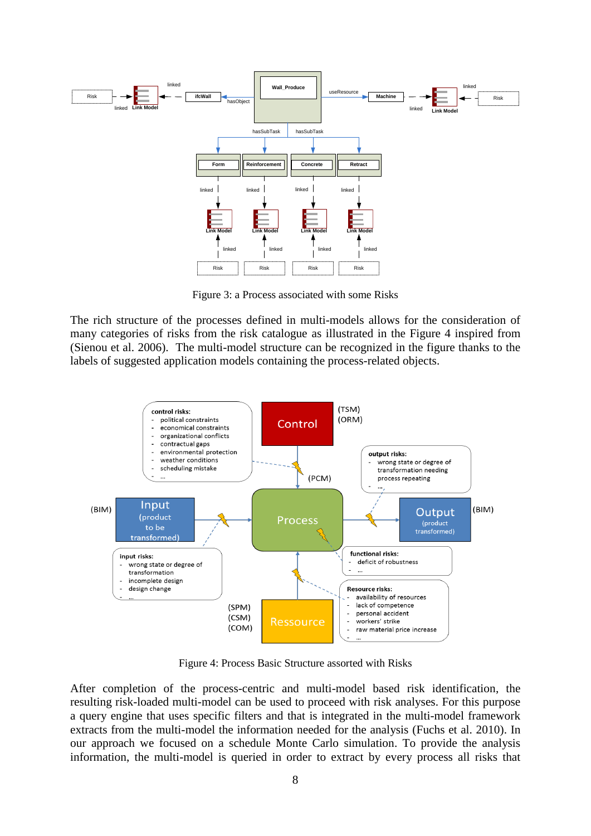

Figure 3: a Process associated with some Risks

The rich structure of the processes defined in multi-models allows for the consideration of many categories of risks from the risk catalogue as illustrated in the Figure 4 inspired from (Sienou et al. 2006). The multi-model structure can be recognized in the figure thanks to the labels of suggested application models containing the process-related objects.



Figure 4: Process Basic Structure assorted with Risks

After completion of the process-centric and multi-model based risk identification, the resulting risk-loaded multi-model can be used to proceed with risk analyses. For this purpose a query engine that uses specific filters and that is integrated in the multi-model framework extracts from the multi-model the information needed for the analysis (Fuchs et al. 2010). In our approach we focused on a schedule Monte Carlo simulation. To provide the analysis information, the multi-model is queried in order to extract by every process all risks that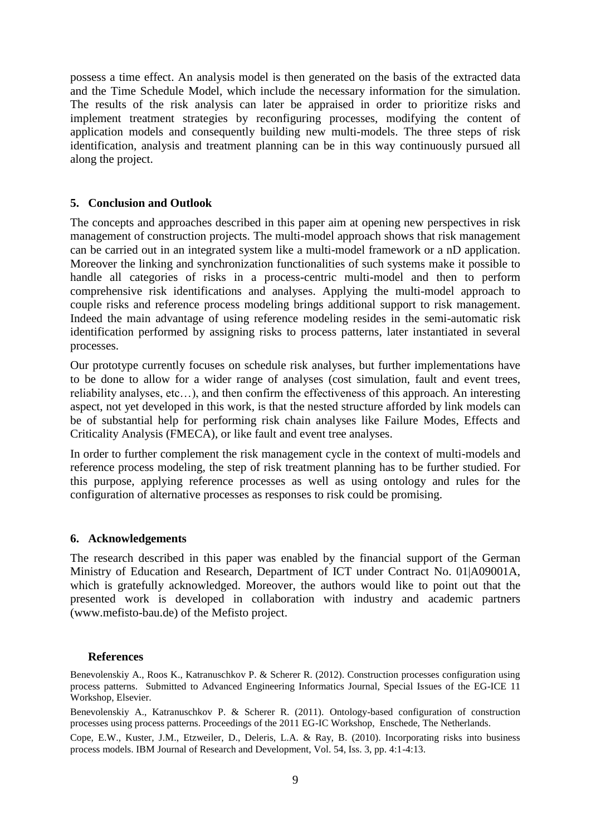possess a time effect. An analysis model is then generated on the basis of the extracted data and the Time Schedule Model, which include the necessary information for the simulation. The results of the risk analysis can later be appraised in order to prioritize risks and implement treatment strategies by reconfiguring processes, modifying the content of application models and consequently building new multi-models. The three steps of risk identification, analysis and treatment planning can be in this way continuously pursued all along the project.

### **5. Conclusion and Outlook**

The concepts and approaches described in this paper aim at opening new perspectives in risk management of construction projects. The multi-model approach shows that risk management can be carried out in an integrated system like a multi-model framework or a nD application. Moreover the linking and synchronization functionalities of such systems make it possible to handle all categories of risks in a process-centric multi-model and then to perform comprehensive risk identifications and analyses. Applying the multi-model approach to couple risks and reference process modeling brings additional support to risk management. Indeed the main advantage of using reference modeling resides in the semi-automatic risk identification performed by assigning risks to process patterns, later instantiated in several processes.

Our prototype currently focuses on schedule risk analyses, but further implementations have to be done to allow for a wider range of analyses (cost simulation, fault and event trees, reliability analyses, etc…), and then confirm the effectiveness of this approach. An interesting aspect, not yet developed in this work, is that the nested structure afforded by link models can be of substantial help for performing risk chain analyses like Failure Modes, Effects and Criticality Analysis (FMECA), or like fault and event tree analyses.

In order to further complement the risk management cycle in the context of multi-models and reference process modeling, the step of risk treatment planning has to be further studied. For this purpose, applying reference processes as well as using ontology and rules for the configuration of alternative processes as responses to risk could be promising.

#### **6. Acknowledgements**

The research described in this paper was enabled by the financial support of the German Ministry of Education and Research, Department of ICT under Contract No. 01|A09001A, which is gratefully acknowledged. Moreover, the authors would like to point out that the presented work is developed in collaboration with industry and academic partners (www.mefisto-bau.de) of the Mefisto project.

#### **References**

Benevolenskiy A., Roos K., Katranuschkov P. & Scherer R. (2012). Construction processes configuration using process patterns. Submitted to Advanced Engineering Informatics Journal, Special Issues of the EG-ICE 11 Workshop, Elsevier.

Benevolenskiy A., Katranuschkov P. & Scherer R. (2011). Ontology-based configuration of construction processes using process patterns. Proceedings of the 2011 EG-IC Workshop, Enschede, The Netherlands.

Cope, E.W., Kuster, J.M., Etzweiler, D., Deleris, L.A. & Ray, B. (2010). Incorporating risks into business process models. IBM Journal of Research and Development, Vol. 54, Iss. 3, pp. 4:1-4:13.